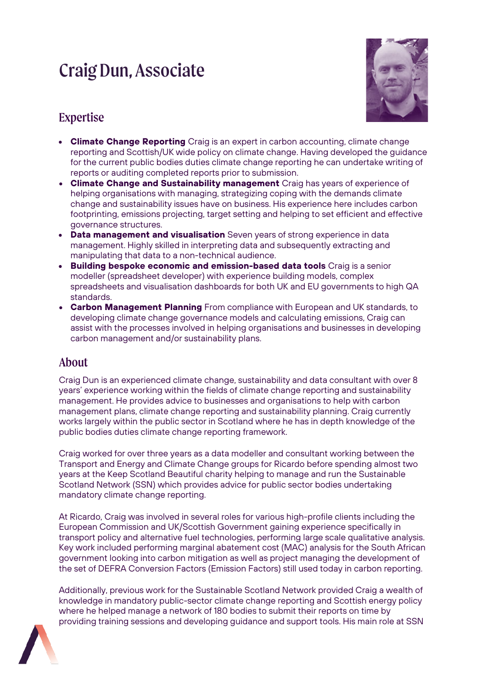# Craig Dun, Associate



# Expertise

- **Climate Change Reporting** Craig is an expert in carbon accounting, climate change reporting and Scottish/UK wide policy on climate change. Having developed the guidance for the current public bodies duties climate change reporting he can undertake writing of reports or auditing completed reports prior to submission.
- **Climate Change and Sustainability management** Craig has years of experience of helping organisations with managing, strategizing coping with the demands climate change and sustainability issues have on business. His experience here includes carbon footprinting, emissions projecting, target setting and helping to set efficient and effective governance structures.
- **Data management and visualisation** Seven years of strong experience in data management. Highly skilled in interpreting data and subsequently extracting and manipulating that data to a non-technical audience.
- **Building bespoke economic and emission-based data tools** Craig is a senior modeller (spreadsheet developer) with experience building models, complex spreadsheets and visualisation dashboards for both UK and EU governments to high QA standards.
- **Carbon Management Planning** From compliance with European and UK standards, to developing climate change governance models and calculating emissions, Craig can assist with the processes involved in helping organisations and businesses in developing carbon management and/or sustainability plans.

#### About

Craig Dun is an experienced climate change, sustainability and data consultant with over 8 years' experience working within the fields of climate change reporting and sustainability management. He provides advice to businesses and organisations to help with carbon management plans, climate change reporting and sustainability planning. Craig currently works largely within the public sector in Scotland where he has in depth knowledge of the public bodies duties climate change reporting framework.

Craig worked for over three years as a data modeller and consultant working between the Transport and Energy and Climate Change groups for Ricardo before spending almost two years at the Keep Scotland Beautiful charity helping to manage and run the Sustainable Scotland Network (SSN) which provides advice for public sector bodies undertaking mandatory climate change reporting.

At Ricardo, Craig was involved in several roles for various high-profile clients including the European Commission and UK/Scottish Government gaining experience specifically in transport policy and alternative fuel technologies, performing large scale qualitative analysis. Key work included performing marginal abatement cost (MAC) analysis for the South African government looking into carbon mitigation as well as project managing the development of the set of DEFRA Conversion Factors (Emission Factors) still used today in carbon reporting.

Additionally, previous work for the Sustainable Scotland Network provided Craig a wealth of knowledge in mandatory public-sector climate change reporting and Scottish energy policy where he helped manage a network of 180 bodies to submit their reports on time by providing training sessions and developing guidance and support tools. His main role at SSN

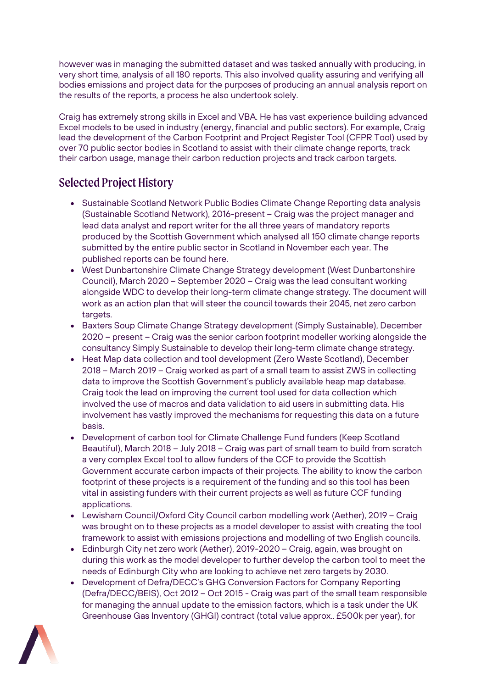however was in managing the submitted dataset and was tasked annually with producing, in very short time, analysis of all 180 reports. This also involved quality assuring and verifying all bodies emissions and project data for the purposes of producing an annual analysis report on the results of the reports, a process he also undertook solely.

Craig has extremely strong skills in Excel and VBA. He has vast experience building advanced Excel models to be used in industry (energy, financial and public sectors). For example, Craig lead the development of the Carbon Footprint and Project Register Tool (CFPR Tool) used by over 70 public sector bodies in Scotland to assist with their climate change reports, track their carbon usage, manage their carbon reduction projects and track carbon targets.

## Selected Project History

- Sustainable Scotland Network Public Bodies Climate Change Reporting data analysis (Sustainable Scotland Network), 2016-present – Craig was the project manager and lead data analyst and report writer for the all three years of mandatory reports produced by the Scottish Government which analysed all 150 climate change reports submitted by the entire public sector in Scotland in November each year. The published reports can be foun[d here.](https://sustainablescotlandnetwork.org/news/ssn-publishes-2017-18-analysis-of-public-sector-emissions)
- West Dunbartonshire Climate Change Strategy development (West Dunbartonshire Council), March 2020 – September 2020 – Craig was the lead consultant working alongside WDC to develop their long-term climate change strategy. The document will work as an action plan that will steer the council towards their 2045, net zero carbon targets.
- Baxters Soup Climate Change Strategy development (Simply Sustainable), December 2020 – present – Craig was the senior carbon footprint modeller working alongside the consultancy Simply Sustainable to develop their long-term climate change strategy.
- Heat Map data collection and tool development (Zero Waste Scotland), December 2018 – March 2019 – Craig worked as part of a small team to assist ZWS in collecting data to improve the Scottish Government's publicly available heap map database. Craig took the lead on improving the current tool used for data collection which involved the use of macros and data validation to aid users in submitting data. His involvement has vastly improved the mechanisms for requesting this data on a future basis.
- Development of carbon tool for Climate Challenge Fund funders (Keep Scotland Beautiful), March 2018 – July 2018 – Craig was part of small team to build from scratch a very complex Excel tool to allow funders of the CCF to provide the Scottish Government accurate carbon impacts of their projects. The ability to know the carbon footprint of these projects is a requirement of the funding and so this tool has been vital in assisting funders with their current projects as well as future CCF funding applications.
- Lewisham Council/Oxford City Council carbon modelling work (Aether), 2019 Craig was brought on to these projects as a model developer to assist with creating the tool framework to assist with emissions projections and modelling of two English councils.
- Edinburgh City net zero work (Aether), 2019-2020 Craig, again, was brought on during this work as the model developer to further develop the carbon tool to meet the needs of Edinburgh City who are looking to achieve net zero targets by 2030.
- Development of Defra/DECC's GHG Conversion Factors for Company Reporting (Defra/DECC/BEIS), Oct 2012 – Oct 2015 - Craig was part of the small team responsible for managing the annual update to the emission factors, which is a task under the UK Greenhouse Gas Inventory (GHGI) contract (total value approx.. £500k per year), for

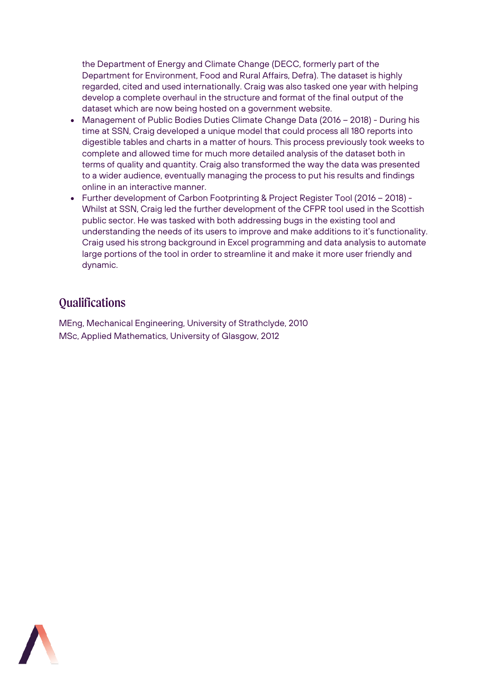the Department of Energy and Climate Change (DECC, formerly part of the Department for Environment, Food and Rural Affairs, Defra). The dataset is highly regarded, cited and used internationally. Craig was also tasked one year with helping develop a complete overhaul in the structure and format of the final output of the dataset which are now being hosted on a government website.

- Management of Public Bodies Duties Climate Change Data (2016 2018) During his time at SSN, Craig developed a unique model that could process all 180 reports into digestible tables and charts in a matter of hours. This process previously took weeks to complete and allowed time for much more detailed analysis of the dataset both in terms of quality and quantity. Craig also transformed the way the data was presented to a wider audience, eventually managing the process to put his results and findings online in an interactive manner.
- Further development of Carbon Footprinting & Project Register Tool (2016 2018) Whilst at SSN, Craig led the further development of the CFPR tool used in the Scottish public sector. He was tasked with both addressing bugs in the existing tool and understanding the needs of its users to improve and make additions to it's functionality. Craig used his strong background in Excel programming and data analysis to automate large portions of the tool in order to streamline it and make it more user friendly and dynamic.

## **Qualifications**

MEng, Mechanical Engineering, University of Strathclyde, 2010 MSc, Applied Mathematics, University of Glasgow, 2012